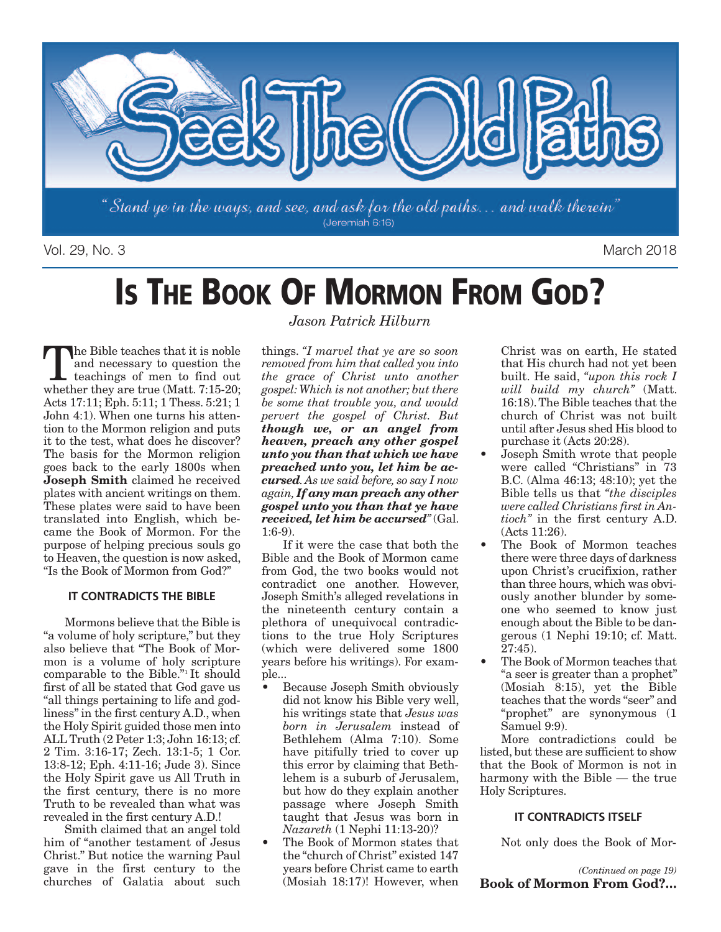

Vol. 29, No. 3 March 2018

# **IS THE BOOK OF MORMON FROM GOD?**

The Bible teaches that it is noble<br>and necessary to question the<br>teachings of men to find out<br>whether they are true (Matt 7:15-20) and necessary to question the whether they are true (Matt. 7:15-20; Acts 17:11; Eph. 5:11; 1 Thess. 5:21; 1 John 4:1). When one turns his attention to the Mormon religion and puts it to the test, what does he discover? The basis for the Mormon religion goes back to the early 1800s when **Joseph Smith** claimed he received plates with ancient writings on them. These plates were said to have been translated into English, which became the Book of Mormon. For the purpose of helping precious souls go to Heaven, the question is now asked. "Is the Book of Mormon from God?"

#### **IT CONTRADICTS THE BIBLE**

Mormons believe that the Bible is "a volume of holy scripture," but they also believe that "The Book of Mormon is a volume of holy scripture comparable to the Bible."1 It should first of all be stated that God gave us "all things pertaining to life and godliness"in the first century A.D., when the Holy Spirit guided those men into ALL Truth (2 Peter 1:3; John 16:13; cf. 2 Tim. 3:16-17; Zech. 13:1-5; 1 Cor. 13:8-12; Eph. 4:11-16; Jude 3). Since the Holy Spirit gave us All Truth in the first century, there is no more Truth to be revealed than what was revealed in the first century A.D.!

Smith claimed that an angel told him of "another testament of Jesus Christ." But notice the warning Paul gave in the first century to the churches of Galatia about such

*Jason Patrick Hilburn*

things. *"I marvel that ye are so soon removed from him that called you into the grace of Christ unto another gospel:Which is not another; but there be some that trouble you, and would pervert the gospel of Christ. But though we, or an angel from heaven, preach any other gospel unto you than that which we have preached unto you, let him be accursed.As we said before, so say I now again, If any man preach any other gospel unto you than that ye have received, let him be accursed"*(Gal.  $1.6 - 9$ 

If it were the case that both the Bible and the Book of Mormon came from God, the two books would not contradict one another. However, Joseph Smith's alleged revelations in the nineteenth century contain a plethora of unequivocal contradictions to the true Holy Scriptures (which were delivered some 1800 years before his writings). For example...

- Because Joseph Smith obviously did not know his Bible very well, his writings state that *Jesus was born in Jerusalem* instead of Bethlehem (Alma 7:10). Some have pitifully tried to cover up this error by claiming that Bethlehem is a suburb of Jerusalem, but how do they explain another passage where Joseph Smith taught that Jesus was born in *Nazareth* (1 Nephi 11:13-20)?
- The Book of Mormon states that the "church of Christ" existed 147 years before Christ came to earth (Mosiah 18:17)! However, when

Christ was on earth, He stated that His church had not yet been built. He said, *"upon this rock I will build my church"* (Matt. 16:18).The Bible teaches that the church of Christ was not built until after Jesus shed His blood to purchase it (Acts 20:28).

- Joseph Smith wrote that people were called "Christians" in 73 B.C. (Alma 46:13; 48:10); yet the Bible tells us that *"the disciples were called Christians first in Antioch"* in the first century A.D. (Acts 11:26).
- The Book of Mormon teaches there were three days of darkness upon Christ's crucifixion, rather than three hours, which was obviously another blunder by someone who seemed to know just enough about the Bible to be dangerous (1 Nephi 19:10; cf. Matt.  $27:45$ ).
- The Book of Mormon teaches that "a seer is greater than a prophet" (Mosiah 8:15), yet the Bible teaches that the words "seer" and "prophet" are synonymous (1 Samuel 9:9).

More contradictions could be listed, but these are sufficient to show that the Book of Mormon is not in harmony with the Bible — the true Holy Scriptures.

#### **IT CONTRADICTS ITSELF**

Not only does the Book of Mor-

*(Continued on page 19)* **Book of Mormon From God?…**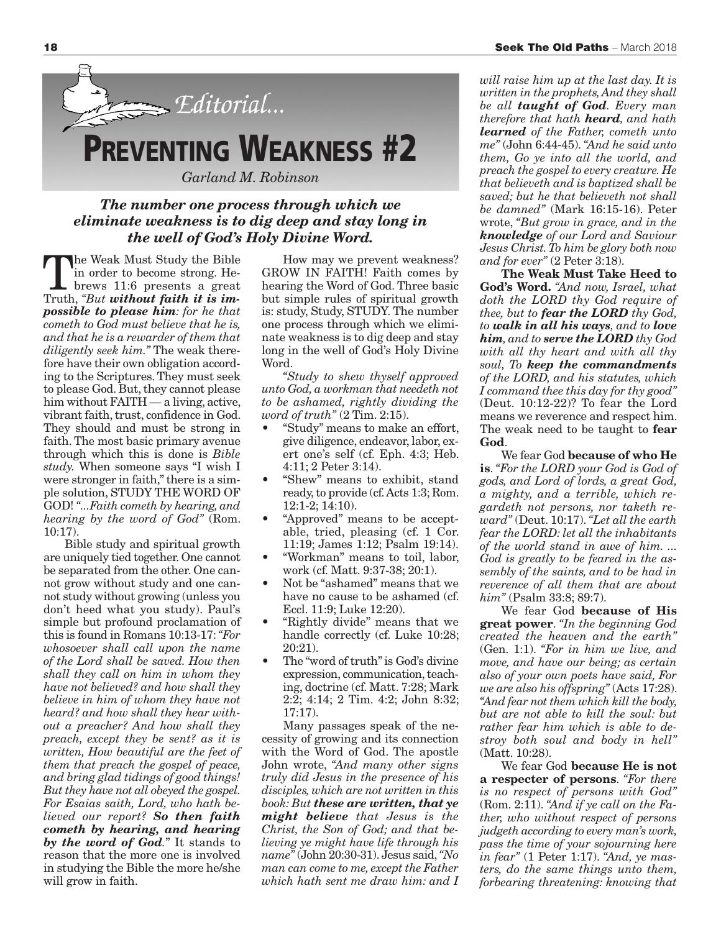

### *The number one process through which we eliminate weakness is to dig deep and stay long in the well of God's Holy Divine Word.*

The Weak Must Study the Bible<br>
in order to become strong. He-<br>
brews 11:6 presents a great<br>
Truth "But without faith it is imin order to become strong. He-Truth, *"But without faith it is impossible to please him: for he that cometh to God must believe that he is, and that he is a rewarder of them that diligently seek him."* The weak therefore have their own obligation according to the Scriptures.They must seek to please God. But, they cannot please him without FAITH — a living, active, vibrant faith, trust, confidence in God. They should and must be strong in faith.The most basic primary avenue through which this is done is *Bible study.* When someone says "I wish I were stronger in faith," there is a simple solution, STUDY THE WORD OF GOD! *"...Faith cometh by hearing, and hearing by the word of God"* (Rom. 10:17).

Bible study and spiritual growth are uniquely tied together. One cannot be separated from the other. One cannot grow without study and one cannot study without growing (unless you don't heed what you study). Paul's simple but profound proclamation of this is found in Romans 10:13-17:*"For whosoever shall call upon the name of the Lord shall be saved. How then shall they call on him in whom they have not believed? and how shall they believe in him of whom they have not heard? and how shall they hear without a preacher? And how shall they preach, except they be sent? as it is written, How beautiful are the feet of them that preach the gospel of peace, and bring glad tidings of good things! But they have not all obeyed the gospel. For Esaias saith, Lord, who hath believed our report? So then faith cometh by hearing, and hearing by the word of God.*" It stands to reason that the more one is involved in studying the Bible the more he/she will grow in faith.

How may we prevent weakness? GROW IN FAITH! Faith comes by hearing the Word of God. Three basic but simple rules of spiritual growth is: study, Study, STUDY. The number one process through which we eliminate weakness is to dig deep and stay long in the well of God's Holy Divine Word.

*"Study to shew thyself approved unto God, a workman that needeth not to be ashamed, rightly dividing the word of truth"* (2 Tim. 2:15).

- "Study" means to make an effort, give diligence, endeavor, labor, exert one's self (cf. Eph. 4:3; Heb. 4:11; 2 Peter 3:14).
- "Shew" means to exhibit, stand ready,to provide (cf.Acts 1:3; Rom. 12:1-2; 14:10).
- "Approved" means to be acceptable, tried, pleasing (cf. 1 Cor. 11:19; James 1:12; Psalm 19:14).
- "Workman" means to toil, labor, work (cf. Matt. 9:37-38; 20:1).
- Not be "ashamed" means that we have no cause to be ashamed (cf. Eccl. 11:9; Luke 12:20).
- "Rightly divide" means that we handle correctly (cf. Luke 10:28; 20:21).
- The "word of truth"is God's divine expression, communication, teaching, doctrine (cf. Matt. 7:28; Mark 2:2; 4:14; 2 Tim. 4:2; John 8:32; 17:17).

Many passages speak of the necessity of growing and its connection with the Word of God. The apostle John wrote, *"And many other signs truly did Jesus in the presence of his disciples, which are not written in this book: But these are written, that ye might believe that Jesus is the Christ, the Son of God; and that believing ye might have life through his name"* (John 20:30-31). Jesus said,*"No man can come to me, except the Father which hath sent me draw him: and I*

*will raise him up at the last day. It is written in the prophets,And they shall be all taught of God. Every man therefore that hath heard, and hath learned of the Father, cometh unto me"* (John 6:44-45). *"And he said unto them, Go ye into all the world, and preach the gospel to every creature. He that believeth and is baptized shall be saved; but he that believeth not shall be damned"* (Mark 16:15-16). Peter wrote, *"But grow in grace, and in the knowledge of our Lord and Saviour Jesus Christ.To him be glory both now and for ever"* (2 Peter 3:18).

**The Weak Must Take Heed to God's Word.** *"And now, Israel, what doth the LORD thy God require of thee, but to fear the LORD thy God, to walk in all his ways, and to love him, and to serve the LORD thy God with all thy heart and with all thy soul, To keep the commandments of the LORD, and his statutes, which I command thee this day for thy good"* (Deut. 10:12-22)? To fear the Lord means we reverence and respect him. The weak need to be taught to **fear God**.

We fear God **because of who He is**. *"For the LORD your God is God of gods, and Lord of lords, a great God, a mighty, and a terrible, which regardeth not persons, nor taketh reward"* (Deut. 10:17).*"Let all the earth fear the LORD: let all the inhabitants of the world stand in awe of him. ... God is greatly to be feared in the assembly of the saints, and to be had in reverence of all them that are about him"* (Psalm 33:8; 89:7).

We fear God **because of His great power**. *"In the beginning God created the heaven and the earth"* (Gen. 1:1). *"For in him we live, and move, and have our being; as certain also of your own poets have said, For we are also his offspring"* (Acts 17:28). *"And fear not them which kill the body, but are not able to kill the soul: but rather fear him which is able to destroy both soul and body in hell"* (Matt. 10:28).

We fear God **because He is not a respecter of persons**. *"For there is no respect of persons with God"* (Rom. 2:11). *"And if ye call on the Father, who without respect of persons judgeth according to every man's work, pass the time of your sojourning here in fear"* (1 Peter 1:17). *"And, ye masters, do the same things unto them, forbearing threatening: knowing that*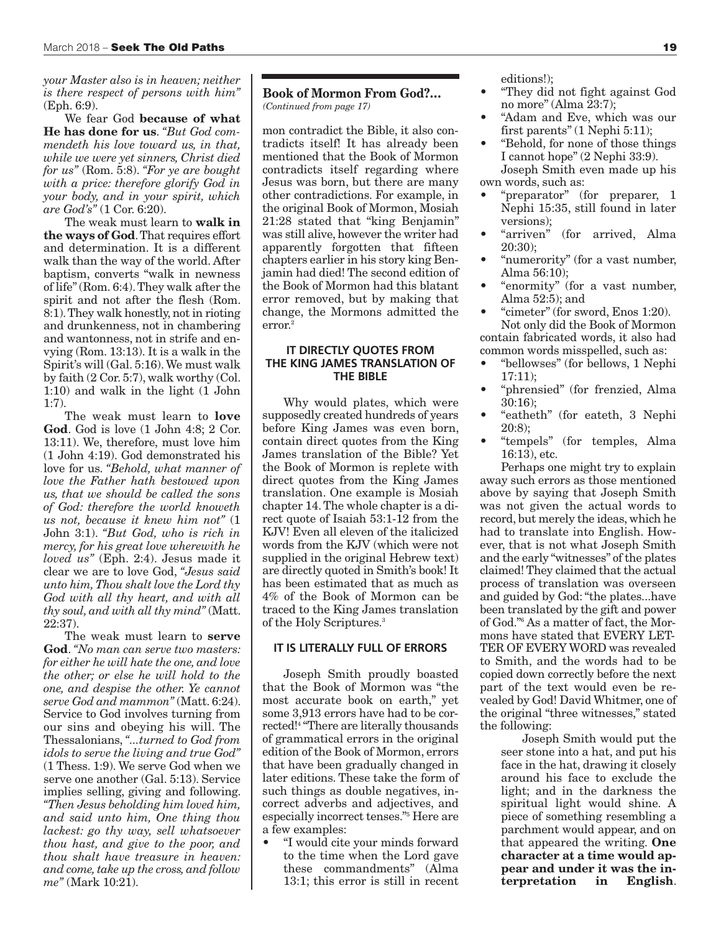*your Master also is in heaven; neither is there respect of persons with him"* (Eph. 6:9).

We fear God **because of what He has done for us**. *"But God commendeth his love toward us, in that, while we were yet sinners, Christ died for us"* (Rom. 5:8). *"For ye are bought with a price: therefore glorify God in your body, and in your spirit, which are God's"* (1 Cor. 6:20).

The weak must learn to **walk in the ways of God**.That requires effort and determination. It is a different walk than the way of the world. After baptism, converts "walk in newness of life"(Rom. 6:4).They walk after the spirit and not after the flesh (Rom. 8:1).They walk honestly, not in rioting and drunkenness, not in chambering and wantonness, not in strife and envying (Rom. 13:13). It is a walk in the Spirit's will (Gal. 5:16).We must walk by faith (2 Cor. 5:7), walk worthy (Col. 1:10) and walk in the light (1 John 1:7).

The weak must learn to **love God**. God is love (1 John 4:8; 2 Cor. 13:11). We, therefore, must love him (1 John 4:19). God demonstrated his love for us. *"Behold, what manner of love the Father hath bestowed upon us, that we should be called the sons of God: therefore the world knoweth us not, because it knew him not"* (1 John 3:1). *"But God, who is rich in mercy, for his great love wherewith he loved us"* (Eph. 2:4). Jesus made it clear we are to love God, *"Jesus said unto him,Thou shalt love the Lord thy God with all thy heart, and with all thy soul, and with all thy mind"* (Matt. 22:37).

The weak must learn to **serve God**. *"No man can serve two masters: for either he will hate the one, and love the other; or else he will hold to the one, and despise the other. Ye cannot serve God and mammon"* (Matt. 6:24). Service to God involves turning from our sins and obeying his will. The Thessalonians, *"...turned to God from idols to serve the living and true God"* (1 Thess. 1:9). We serve God when we serve one another (Gal. 5:13). Service implies selling, giving and following. *"Then Jesus beholding him loved him, and said unto him, One thing thou lackest: go thy way, sell whatsoever thou hast, and give to the poor, and thou shalt have treasure in heaven: and come,take up the cross, and follow me"* (Mark 10:21).

#### **Book of Mormon From God?…** *(Continued from page 17)*

mon contradict the Bible, it also contradicts itself! It has already been mentioned that the Book of Mormon contradicts itself regarding where Jesus was born, but there are many other contradictions. For example, in the original Book of Mormon, Mosiah 21:28 stated that "king Benjamin" was still alive, however the writer had apparently forgotten that fifteen chapters earlier in his story king Benjamin had died! The second edition of the Book of Mormon had this blatant error removed, but by making that change, the Mormons admitted the error. 2

#### **IT DIRECTLY QUOTES FROM THE KING JAMES TRANSLATION OF THE BIBLE**

Why would plates, which were supposedly created hundreds of years before King James was even born, contain direct quotes from the King James translation of the Bible? Yet the Book of Mormon is replete with direct quotes from the King James translation. One example is Mosiah chapter 14.The whole chapter is a direct quote of Isaiah 53:1-12 from the KJV! Even all eleven of the italicized words from the KJV (which were not supplied in the original Hebrew text) are directly quoted in Smith's book! It has been estimated that as much as 4% of the Book of Mormon can be traced to the King James translation of the Holy Scriptures. 3

#### **IT IS LITERALLY FULL OF ERRORS**

Joseph Smith proudly boasted that the Book of Mormon was "the most accurate book on earth," yet some 3,913 errors have had to be corrected! <sup>4</sup> "There are literally thousands of grammatical errors in the original edition of the Book of Mormon, errors that have been gradually changed in later editions. These take the form of such things as double negatives, incorrect adverbs and adjectives, and especially incorrect tenses."5 Here are a few examples:

• "I would cite your minds forward to the time when the Lord gave these commandments" (Alma 13:1; this error is still in recent editions!);

- "They did not fight against God no more" (Alma 23:7);
- "Adam and Eve, which was our first parents" (1 Nephi 5:11);
- "Behold, for none of those things I cannot hope" (2 Nephi 33:9). Joseph Smith even made up his own words, such as:
- "preparator" (for preparer, 1 Nephi 15:35, still found in later versions);<br>"arriven"
- (for arrived, Alma) 20:30);
- "numerority" (for a vast number, Alma 56:10);
- "enormity" (for a vast number, Alma 52:5); and
- "cimeter" (for sword, Enos 1:20).

Not only did the Book of Mormon contain fabricated words, it also had common words misspelled, such as:

- "bellowses" (for bellows, 1 Nephi 17:11);
- "phrensied" (for frenzied, Alma 30:16);
- "eatheth" (for eateth, 3 Nephi 20:8);
- "tempels" (for temples, Alma 16:13), etc.

Perhaps one might try to explain away such errors as those mentioned above by saying that Joseph Smith was not given the actual words to record, but merely the ideas, which he had to translate into English. However, that is not what Joseph Smith and the early "witnesses" of the plates claimed! They claimed that the actual process of translation was overseen and guided by God:"the plates...have been translated by the gift and power of God."6 As a matter of fact, the Mormons have stated that EVERY LET-TER OF EVERY WORD was revealed to Smith, and the words had to be copied down correctly before the next part of the text would even be revealed by God! David Whitmer, one of the original "three witnesses," stated the following:

Joseph Smith would put the seer stone into a hat, and put his face in the hat, drawing it closely around his face to exclude the light; and in the darkness the spiritual light would shine. A piece of something resembling a parchment would appear, and on that appeared the writing. **One character at a time would appear and under it was the interpretation in English**.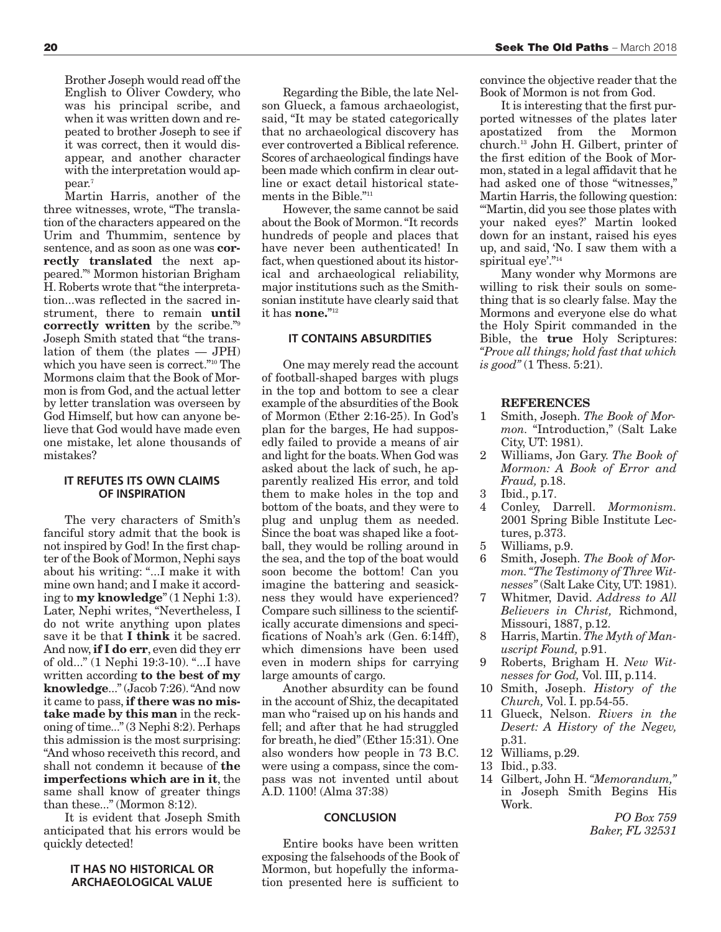Brother Joseph would read off the English to Oliver Cowdery, who was his principal scribe, and when it was written down and repeated to brother Joseph to see if it was correct, then it would disappear, and another character with the interpretation would appear. 7

Martin Harris, another of the three witnesses, wrote, "The translation of the characters appeared on the Urim and Thummim, sentence by sentence, and as soon as one was **correctly translated** the next appeared."8 Mormon historian Brigham H. Roberts wrote that"the interpretation...was reflected in the sacred instrument, there to remain **until correctly written** by the scribe."9 Joseph Smith stated that "the translation of them (the plates — JPH) which you have seen is correct."10 The Mormons claim that the Book of Mormon is from God, and the actual letter by letter translation was overseen by God Himself, but how can anyone believe that God would have made even one mistake, let alone thousands of mistakes?

#### **IT REFUTES ITS OWN CLAIMS OF INSPIRATION**

The very characters of Smith's fanciful story admit that the book is not inspired by God! In the first chapter of the Book of Mormon, Nephi says about his writing: "...I make it with mine own hand; and I make it according to **my knowledge**" (1 Nephi 1:3). Later, Nephi writes, "Nevertheless, I do not write anything upon plates save it be that **I think** it be sacred. And now,**if I do err**, even did they err of old..." (1 Nephi 19:3-10). "...I have written according **to the best of my knowledge**..."(Jacob 7:26)."And now it came to pass,**if there was no mistake made by this man** in the reckoning of time..."(3 Nephi 8:2). Perhaps this admission is the most surprising: "And whoso receiveth this record, and shall not condemn it because of **the imperfections which are in it**, the same shall know of greater things than these..." (Mormon 8:12).

It is evident that Joseph Smith anticipated that his errors would be quickly detected!

#### **IT HAS NO HISTORICAL OR ARCHAEOLOGICAL VALUE**

Regarding the Bible, the late Nelson Glueck, a famous archaeologist, said, "It may be stated categorically that no archaeological discovery has ever controverted a Biblical reference. Scores of archaeological findings have been made which confirm in clear outline or exact detail historical statements in the Bible."11

However, the same cannot be said about the Book of Mormon."It records hundreds of people and places that have never been authenticated! In fact, when questioned about its historical and archaeological reliability, major institutions such as the Smithsonian institute have clearly said that it has **none.**"<sup>12</sup>

#### **IT CONTAINS ABSURDITIES**

One may merely read the account of football-shaped barges with plugs in the top and bottom to see a clear example of the absurdities of the Book of Mormon (Ether 2:16-25). In God's plan for the barges, He had supposedly failed to provide a means of air and light for the boats.When God was asked about the lack of such, he apparently realized His error, and told them to make holes in the top and bottom of the boats, and they were to plug and unplug them as needed. Since the boat was shaped like a football, they would be rolling around in the sea, and the top of the boat would soon become the bottom! Can you imagine the battering and seasickness they would have experienced? Compare such silliness to the scientifically accurate dimensions and specifications of Noah's ark (Gen. 6:14ff), which dimensions have been used even in modern ships for carrying large amounts of cargo.

Another absurdity can be found in the account of Shiz, the decapitated man who "raised up on his hands and fell; and after that he had struggled for breath, he died"(Ether 15:31). One also wonders how people in 73 B.C. were using a compass, since the compass was not invented until about A.D. 1100! (Alma 37:38)

#### **CONCLUSION**

Entire books have been written exposing the falsehoods of the Book of Mormon, but hopefully the information presented here is sufficient to

convince the objective reader that the Book of Mormon is not from God.

It is interesting that the first purported witnesses of the plates later apostatized from the Mormon church. <sup>13</sup> John H. Gilbert, printer of the first edition of the Book of Mormon, stated in a legal affidavit that he had asked one of those "witnesses," Martin Harris, the following question: "'Martin, did you see those plates with your naked eyes?' Martin looked down for an instant, raised his eyes up, and said, 'No. I saw them with a spiritual eye'."<sup>14</sup>

Many wonder why Mormons are willing to risk their souls on something that is so clearly false. May the Mormons and everyone else do what the Holy Spirit commanded in the Bible, the **true** Holy Scriptures: *"Prove all things; hold fast that which is good"* (1 Thess. 5:21).

#### **REFERENCES**

- 1 Smith, Joseph. *The Book of Mormon.* "Introduction," (Salt Lake City, UT: 1981).
- 2 Williams, Jon Gary. *The Book of Mormon: A Book of Error and Fraud,* p.18.
- 3 Ibid., p.17.
- 4 Conley, Darrell. *Mormonism.* 2001 Spring Bible Institute Lectures, p.373.
- 5 Williams, p.9.
- 6 Smith, Joseph. *The Book of Mormon."The Testimony of Three Witnesses"* (Salt Lake City, UT: 1981).
- 7 Whitmer, David. *Address to All Believers in Christ,* Richmond, Missouri, 1887, p.12.
- 8 Harris, Martin. *The Myth of Manuscript Found,* p.91.
- 9 Roberts, Brigham H. *New Witnesses for God,* Vol. III, p.114.
- 10 Smith, Joseph. *History of the Church,* Vol. I. pp.54-55.
- 11 Glueck, Nelson. *Rivers in the Desert: A History of the Negev,* p.31.
- 12 Williams, p.29.
- 13 Ibid., p.33.
- 14 Gilbert, John H. *"Memorandum,"* in Joseph Smith Begins His Work.

*PO Box 759 Baker, FL 32531*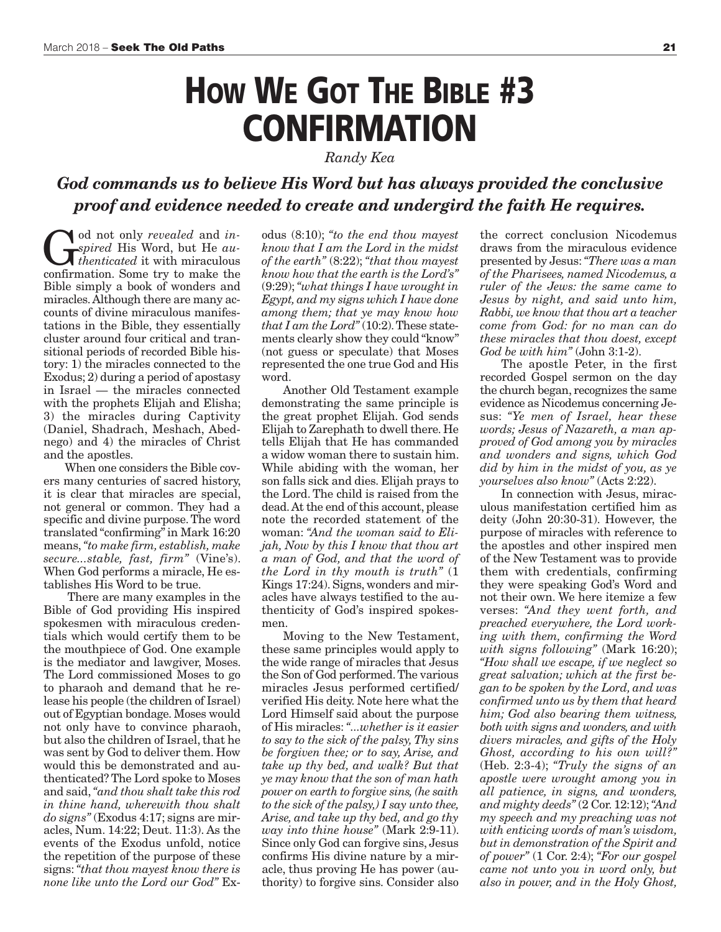## **HOW WE GOT THE BIBLE #3 CONFIRMATION**

*Randy Kea*

### *God commands us to believe His Word but has always provided the conclusive proof and evidence needed to create and undergird the faith He requires.*

God not only *revealed* and *in-*<br>spired His Word, but He *au-*<br>confirmation Some try to make the *spired* His Word, but He *authenticated* it with miraculous confirmation. Some try to make the Bible simply a book of wonders and miracles.Although there are many accounts of divine miraculous manifestations in the Bible, they essentially cluster around four critical and transitional periods of recorded Bible history: 1) the miracles connected to the Exodus; 2) during a period of apostasy in Israel — the miracles connected with the prophets Elijah and Elisha; 3) the miracles during Captivity (Daniel, Shadrach, Meshach, Abednego) and 4) the miracles of Christ and the apostles.

When one considers the Bible covers many centuries of sacred history, it is clear that miracles are special, not general or common. They had a specific and divine purpose.The word translated "confirming"in Mark 16:20 means,*"to make firm, establish, make secure...stable, fast, firm"* (Vine's). When God performs a miracle, He establishes His Word to be true.

There are many examples in the Bible of God providing His inspired spokesmen with miraculous credentials which would certify them to be the mouthpiece of God. One example is the mediator and lawgiver, Moses. The Lord commissioned Moses to go to pharaoh and demand that he release his people (the children of Israel) out of Egyptian bondage. Moses would not only have to convince pharaoh, but also the children of Israel, that he was sent by God to deliver them. How would this be demonstrated and authenticated? The Lord spoke to Moses and said,*"and thou shalt take this rod in thine hand, wherewith thou shalt do signs"* (Exodus 4:17; signs are miracles, Num. 14:22; Deut. 11:3). As the events of the Exodus unfold, notice the repetition of the purpose of these signs:*"that thou mayest know there is none like unto the Lord our God"* Exodus (8:10); *"to the end thou mayest know that I am the Lord in the midst of the earth"* (8:22); *"that thou mayest know how that the earth is the Lord's"* (9:29);*"what things I have wrought in Egypt, and my signs which I have done among them; that ye may know how that I am the Lord"* (10:2).These statements clearly show they could "know" (not guess or speculate) that Moses represented the one true God and His word.

Another Old Testament example demonstrating the same principle is the great prophet Elijah. God sends Elijah to Zarephath to dwell there. He tells Elijah that He has commanded a widow woman there to sustain him. While abiding with the woman, her son falls sick and dies. Elijah prays to the Lord. The child is raised from the dead.At the end of this account, please note the recorded statement of the woman: *"And the woman said to Elijah, Now by this I know that thou art a man of God, and that the word of the Lord in thy mouth is truth"* (1 Kings 17:24). Signs, wonders and miracles have always testified to the authenticity of God's inspired spokesmen.

Moving to the New Testament, these same principles would apply to the wide range of miracles that Jesus the Son of God performed.The various miracles Jesus performed certified/ verified His deity. Note here what the Lord Himself said about the purpose of His miracles:*"...whether is it easier to say to the sick of the palsy,Thy sins be forgiven thee; or to say, Arise, and take up thy bed, and walk? But that ye may know that the son of man hath power on earth to forgive sins,(he saith to the sick of the palsy,) I say unto thee, Arise, and take up thy bed, and go thy way into thine house"* (Mark 2:9-11). Since only God can forgive sins, Jesus confirms His divine nature by a miracle, thus proving He has power (authority) to forgive sins. Consider also

the correct conclusion Nicodemus draws from the miraculous evidence presented by Jesus:*"There was a man of the Pharisees, named Nicodemus, a ruler of the Jews: the same came to Jesus by night, and said unto him, Rabbi, we know that thou art a teacher come from God: for no man can do these miracles that thou doest, except God be with him"* (John 3:1-2).

The apostle Peter, in the first recorded Gospel sermon on the day the church began, recognizes the same evidence as Nicodemus concerning Jesus: *"Ye men of Israel, hear these words; Jesus of Nazareth, a man approved of God among you by miracles and wonders and signs, which God did by him in the midst of you, as ye yourselves also know"* (Acts 2:22).

In connection with Jesus, miraculous manifestation certified him as deity (John 20:30-31). However, the purpose of miracles with reference to the apostles and other inspired men of the New Testament was to provide them with credentials, confirming they were speaking God's Word and not their own. We here itemize a few verses: *"And they went forth, and preached everywhere, the Lord working with them, confirming the Word with signs following"* (Mark 16:20); *"How shall we escape, if we neglect so great salvation; which at the first began to be spoken by the Lord, and was confirmed unto us by them that heard him; God also bearing them witness, both with signs and wonders, and with divers miracles, and gifts of the Holy Ghost, according to his own will?"* (Heb. 2:3-4); *"Truly the signs of an apostle were wrought among you in all patience, in signs, and wonders, and mighty deeds"* (2 Cor. 12:12);*"And my speech and my preaching was not with enticing words of man's wisdom, but in demonstration of the Spirit and of power"* (1 Cor. 2:4); *"For our gospel came not unto you in word only, but also in power, and in the Holy Ghost,*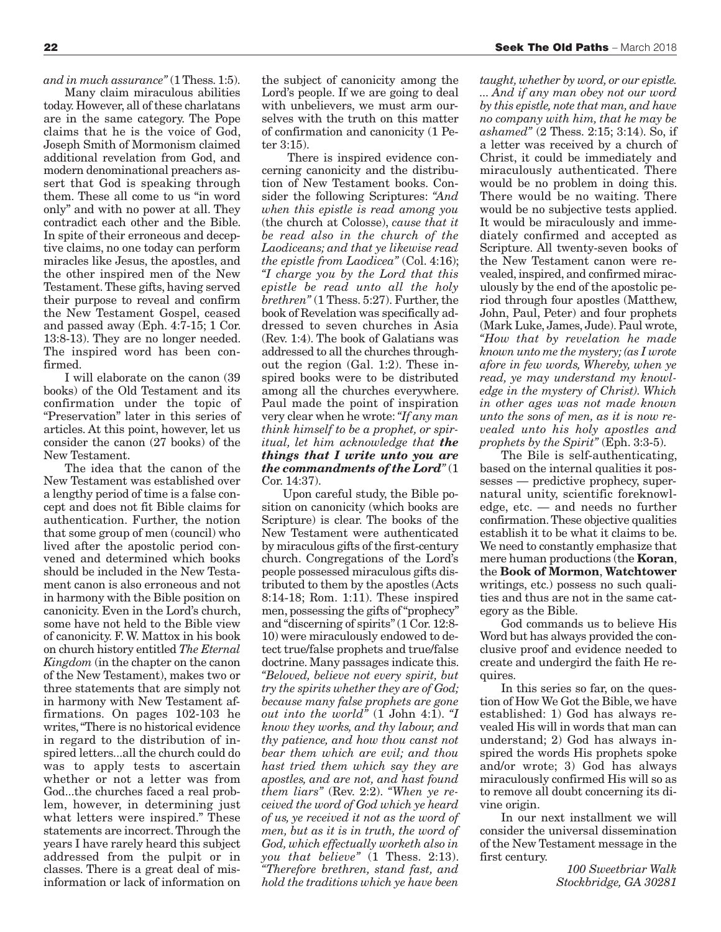*and in much assurance"* (1 Thess. 1:5).

Many claim miraculous abilities today. However, all of these charlatans are in the same category. The Pope claims that he is the voice of God, Joseph Smith of Mormonism claimed additional revelation from God, and modern denominational preachers assert that God is speaking through them. These all come to us "in word only" and with no power at all. They contradict each other and the Bible. In spite of their erroneous and deceptive claims, no one today can perform miracles like Jesus, the apostles, and the other inspired men of the New Testament.These gifts, having served their purpose to reveal and confirm the New Testament Gospel, ceased and passed away (Eph. 4:7-15; 1 Cor. 13:8-13). They are no longer needed. The inspired word has been confirmed.

I will elaborate on the canon (39 books) of the Old Testament and its confirmation under the topic of "Preservation" later in this series of articles. At this point, however, let us consider the canon (27 books) of the New Testament.

The idea that the canon of the New Testament was established over a lengthy period of time is a false concept and does not fit Bible claims for authentication. Further, the notion that some group of men (council) who lived after the apostolic period convened and determined which books should be included in the New Testament canon is also erroneous and not in harmony with the Bible position on canonicity. Even in the Lord's church, some have not held to the Bible view of canonicity. F. W. Mattox in his book on church history entitled *The Eternal Kingdom* (in the chapter on the canon of the New Testament), makes two or three statements that are simply not in harmony with New Testament affirmations. On pages 102-103 he writes,"There is no historical evidence in regard to the distribution of inspired letters...all the church could do was to apply tests to ascertain whether or not a letter was from God...the churches faced a real problem, however, in determining just what letters were inspired." These statements are incorrect.Through the years I have rarely heard this subject addressed from the pulpit or in classes. There is a great deal of misinformation or lack of information on the subject of canonicity among the Lord's people. If we are going to deal with unbelievers, we must arm ourselves with the truth on this matter of confirmation and canonicity (1 Peter 3:15).

There is inspired evidence concerning canonicity and the distribution of New Testament books. Consider the following Scriptures: *"And when this epistle is read among you* (the church at Colosse), *cause that it be read also in the church of the Laodiceans; and that ye likewise read the epistle from Laodicea"* (Col. 4:16); *"I charge you by the Lord that this epistle be read unto all the holy brethren"* (1 Thess. 5:27). Further, the book of Revelation was specifically addressed to seven churches in Asia (Rev. 1:4). The book of Galatians was addressed to all the churches throughout the region (Gal. 1:2). These inspired books were to be distributed among all the churches everywhere. Paul made the point of inspiration very clear when he wrote:*"If any man think himself to be a prophet, or spiritual, let him acknowledge that the things that I write unto you are the commandments of the Lord"* (1 Cor. 14:37).

Upon careful study, the Bible position on canonicity (which books are Scripture) is clear. The books of the New Testament were authenticated by miraculous gifts of the first-century church. Congregations of the Lord's people possessed miraculous gifts distributed to them by the apostles (Acts 8:14-18; Rom. 1:11). These inspired men, possessing the gifts of"prophecy" and "discerning of spirits"(1 Cor. 12:8- 10) were miraculously endowed to detect true/false prophets and true/false doctrine. Many passages indicate this. *"Beloved, believe not every spirit, but try the spirits whether they are of God; because many false prophets are gone out into the world*"  $(1)$  John 4:1).  $\mathcal{I}$ *know they works, and thy labour, and thy patience, and how thou canst not bear them which are evil; and thou hast tried them which say they are apostles, and are not, and hast found them liars"* (Rev. 2:2). *"When ye received the word of God which ye heard of us, ye received it not as the word of men, but as it is in truth, the word of God, which effectually worketh also in you that believe"* (1 Thess. 2:13). *"Therefore brethren, stand fast, and hold the traditions which ye have been*

*taught, whether by word, or our epistle. ... And if any man obey not our word by this epistle, note that man, and have no company with him, that he may be ashamed"* (2 Thess. 2:15; 3:14). So, if a letter was received by a church of Christ, it could be immediately and miraculously authenticated. There would be no problem in doing this. There would be no waiting. There would be no subjective tests applied. It would be miraculously and immediately confirmed and accepted as Scripture. All twenty-seven books of the New Testament canon were revealed, inspired, and confirmed miraculously by the end of the apostolic period through four apostles (Matthew, John, Paul, Peter) and four prophets (Mark Luke, James, Jude). Paul wrote, *"How that by revelation he made known unto me the mystery;(as I wrote afore in few words, Whereby, when ye read, ye may understand my knowledge in the mystery of Christ). Which in other ages was not made known unto the sons of men, as it is now revealed unto his holy apostles and prophets by the Spirit"* (Eph. 3:3-5).

The Bile is self-authenticating, based on the internal qualities it possesses — predictive prophecy, supernatural unity, scientific foreknowledge, etc. — and needs no further confirmation.These objective qualities establish it to be what it claims to be. We need to constantly emphasize that mere human productions (the **Koran**, the **Book of Mormon**, **Watchtower** writings, etc.) possess no such qualities and thus are not in the same category as the Bible.

God commands us to believe His Word but has always provided the conclusive proof and evidence needed to create and undergird the faith He requires.

In this series so far, on the question of How We Got the Bible, we have established: 1) God has always revealed His will in words that man can understand; 2) God has always inspired the words His prophets spoke and/or wrote; 3) God has always miraculously confirmed His will so as to remove all doubt concerning its divine origin.

In our next installment we will consider the universal dissemination of the New Testament message in the first century.

> *100 Sweetbriar Walk Stockbridge, GA 30281*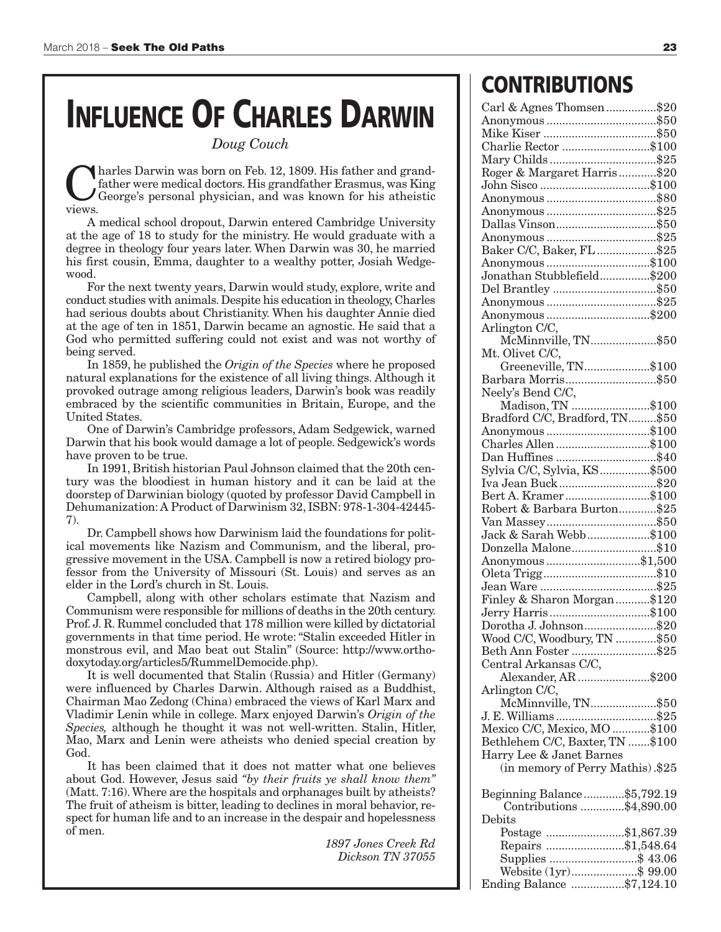## **INFLUENCE OF CHARLES DARWIN**

*Doug Couch*

Charles Darwin was born on Feb. 12, 1809. His father and grand-<br>father were medical doctors. His grandfather Erasmus, was King<br>George's personal physician, and was known for his atheistic father were medical doctors. His grandfather Erasmus, was King views.

A medical school dropout, Darwin entered Cambridge University at the age of 18 to study for the ministry. He would graduate with a degree in theology four years later. When Darwin was 30, he married his first cousin, Emma, daughter to a wealthy potter, Josiah Wedgewood.

For the next twenty years, Darwin would study, explore, write and conduct studies with animals. Despite his education in theology, Charles had serious doubts about Christianity. When his daughter Annie died at the age of ten in 1851, Darwin became an agnostic. He said that a God who permitted suffering could not exist and was not worthy of being served.

In 1859, he published the *Origin of the Species* where he proposed natural explanations for the existence of all living things. Although it provoked outrage among religious leaders, Darwin's book was readily embraced by the scientific communities in Britain, Europe, and the United States.

One of Darwin's Cambridge professors, Adam Sedgewick, warned Darwin that his book would damage a lot of people. Sedgewick's words have proven to be true.

In 1991, British historian Paul Johnson claimed that the 20th century was the bloodiest in human history and it can be laid at the doorstep of Darwinian biology (quoted by professor David Campbell in Dehumanization:A Product of Darwinism 32, ISBN: 978-1-304-42445- 7).

Dr. Campbell shows how Darwinism laid the foundations for political movements like Nazism and Communism, and the liberal, progressive movement in the USA. Campbell is now a retired biology professor from the University of Missouri (St. Louis) and serves as an elder in the Lord's church in St. Louis.

Campbell, along with other scholars estimate that Nazism and Communism were responsible for millions of deaths in the 20th century. Prof. J. R. Rummel concluded that 178 million were killed by dictatorial governments in that time period. He wrote:"Stalin exceeded Hitler in monstrous evil, and Mao beat out Stalin" (Source: http://www.orthodoxytoday.org/articles5/RummelDemocide.php).

It is well documented that Stalin (Russia) and Hitler (Germany) were influenced by Charles Darwin. Although raised as a Buddhist, Chairman Mao Zedong (China) embraced the views of Karl Marx and Vladimir Lenin while in college. Marx enjoyed Darwin's *Origin of the Species,* although he thought it was not well-written. Stalin, Hitler, Mao, Marx and Lenin were atheists who denied special creation by God.

It has been claimed that it does not matter what one believes about God. However, Jesus said *"by their fruits ye shall know them"* (Matt. 7:16).Where are the hospitals and orphanages built by atheists? The fruit of atheism is bitter, leading to declines in moral behavior, respect for human life and to an increase in the despair and hopelessness of men.

> *1897 Jones Creek Rd Dickson TN 37055*

### **CONTRIBUTIONS**

| Carl & Agnes Thomsen\$20                            |  |
|-----------------------------------------------------|--|
|                                                     |  |
|                                                     |  |
|                                                     |  |
| Charlie Rector \$100                                |  |
|                                                     |  |
|                                                     |  |
| Roger & Margaret Harris\$20                         |  |
|                                                     |  |
|                                                     |  |
|                                                     |  |
|                                                     |  |
|                                                     |  |
|                                                     |  |
|                                                     |  |
| Baker C/C, Baker, FL \$25                           |  |
|                                                     |  |
| Anonymous\$100                                      |  |
| Jonathan Stubblefield\$200                          |  |
| Del Brantley \$50                                   |  |
|                                                     |  |
|                                                     |  |
| Anonymous\$200                                      |  |
| Arlington C/C,                                      |  |
|                                                     |  |
| McMinnville, TN\$50                                 |  |
| Mt. Olivet C/C,                                     |  |
| Greeneville, TN\$100                                |  |
|                                                     |  |
| Barbara Morris\$50                                  |  |
| Neely's Bend C/C,                                   |  |
|                                                     |  |
| Madison, TN \$100                                   |  |
| Bradford C/C, Bradford, TN\$50                      |  |
|                                                     |  |
| Anonymous\$100                                      |  |
| Charles Allen \$100                                 |  |
| Dan Huffines \$40                                   |  |
|                                                     |  |
|                                                     |  |
|                                                     |  |
|                                                     |  |
|                                                     |  |
| Bert A. Kramer\$100                                 |  |
|                                                     |  |
| Robert & Barbara Burton\$25                         |  |
|                                                     |  |
| Jack & Sarah Webb\$100                              |  |
|                                                     |  |
| Donzella Malone\$10                                 |  |
| Anonymous\$1,500                                    |  |
|                                                     |  |
|                                                     |  |
|                                                     |  |
| Finley & Sharon Morgan\$120                         |  |
|                                                     |  |
| Jerry Harris\$100                                   |  |
| Dorotha J. Johnson\$20                              |  |
|                                                     |  |
| Wood C/C, Woodbury, TN \$50                         |  |
| Beth Ann Foster \$25                                |  |
|                                                     |  |
|                                                     |  |
| Central Arkansas C/C,<br>Alexander, AR \$200        |  |
| Arlington C/C,                                      |  |
|                                                     |  |
| McMinnville, TN\$50                                 |  |
|                                                     |  |
| J. E. Williams \$25<br>Mexico C/C, Mexico, MO \$100 |  |
|                                                     |  |
| Bethlehem C/C, Baxter, TN \$100                     |  |
| Harry Lee & Janet Barnes                            |  |
| (in memory of Perry Mathis).\$25                    |  |
|                                                     |  |
|                                                     |  |
| Beginning Balance\$5,792.19                         |  |
| Contributions \$4,890.00                            |  |
|                                                     |  |
| Debits                                              |  |
| Postage \$1,867.39                                  |  |
|                                                     |  |
| Repairs \$1,548.64                                  |  |
| Supplies \$ 43.06                                   |  |
| Website (1yr)\$ 99.00<br>Ending Balance \$7,124.10  |  |